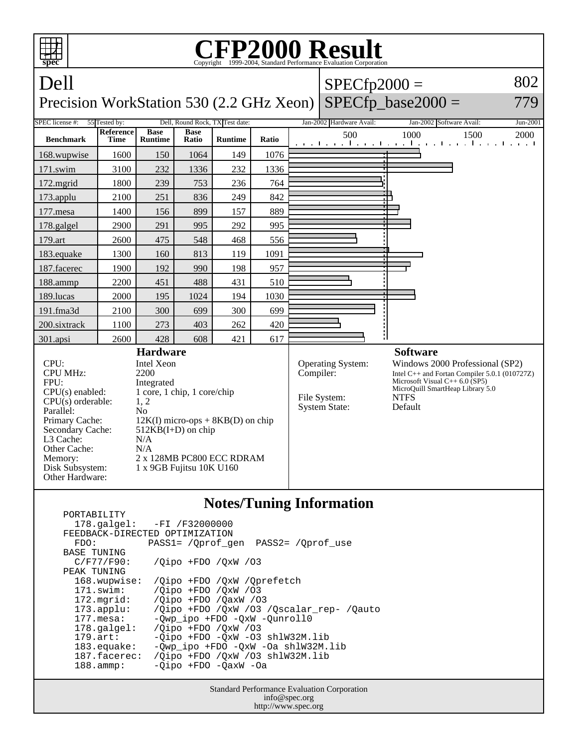

|                       | 178.galgel: -FI /F32000000<br>FEEDBACK-DIRECTED OPTIMIZATION |
|-----------------------|--------------------------------------------------------------|
| FDO:                  | PASS1= /Oprof gen<br>PASS2= /Oprof use                       |
| <b>BASE TUNING</b>    |                                                              |
| C/F77/F90:            | $\sqrt{O}$ ipo +FDO $\sqrt{O}$ xW $\sqrt{O}$ 3               |
| PEAK TUNING           |                                                              |
| 168.wupwise:          | /Oipo +FDO /OxW /Oprefetch                                   |
| $171$ .swim:          | /Oipo +FDO /OxW /03                                          |
| 172.mgrid:            | /Oipo +FDO /OaxW /O3                                         |
| $173.\text{applu}:$   | /Oipo +FDO /OxW /O3 /Oscalar rep- /Oauto                     |
| 177.mesa:             | $-$ Owp ipo $+$ FDO $-$ OxW $-$ Ounroll0                     |
| $178.\text{qalgel}$ : | /Qipo +FDO /QxW /03                                          |
| $179.\text{art}$ :    | -Oipo +FDO -OxW -O3 shlW32M.lib                              |
| $183$ .equake:        | -Qwp_ipo +FDO -QxW -Oa shlW32M.lib                           |
| 187.facerec:          | /Oipo +FDO /OxW /O3 shlW32M.lib                              |
| $188.\text{amp}:$     | -Oipo +FDO -OaxW -Oa                                         |
|                       |                                                              |

Standard Performance Evaluation Corporation info@spec.org http://www.spec.org